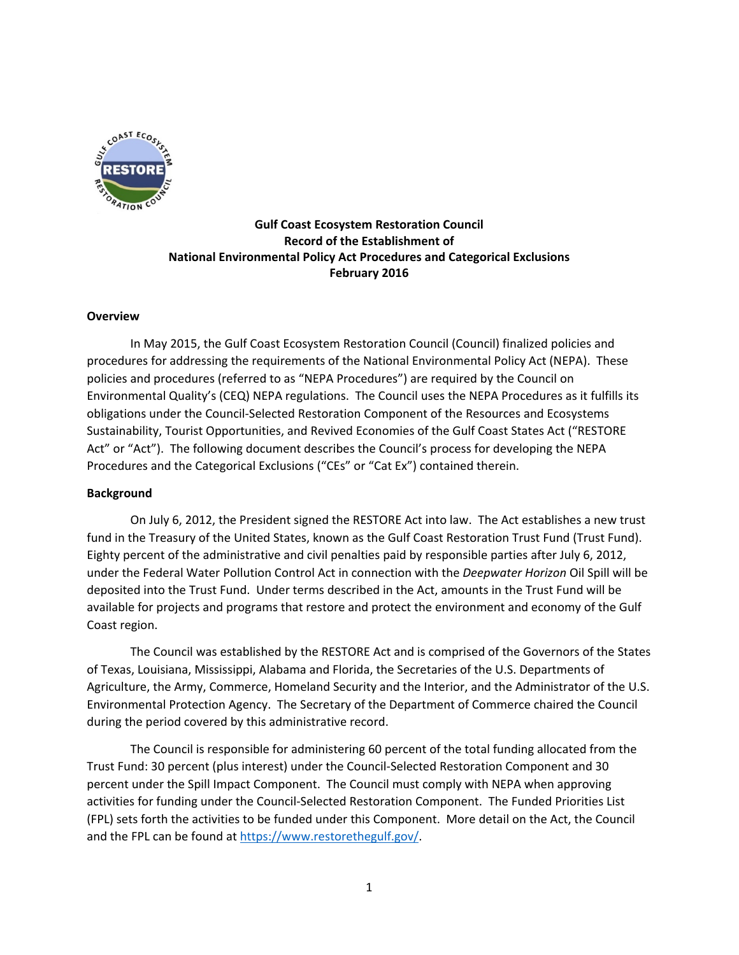

# **Gulf Coast Ecosystem Restoration Council Record of the Establishment of National Environmental Policy Act Procedures and Categorical Exclusions February 2016**

#### **Overview**

In May 2015, the Gulf Coast Ecosystem Restoration Council (Council) finalized policies and procedures for addressing the requirements of the National Environmental Policy Act (NEPA). These policies and procedures (referred to as "NEPA Procedures") are required by the Council on Environmental Quality's (CEQ) NEPA regulations. The Council uses the NEPA Procedures as it fulfills its obligations under the Council-Selected Restoration Component of the Resources and Ecosystems Sustainability, Tourist Opportunities, and Revived Economies of the Gulf Coast States Act ("RESTORE Act" or "Act"). The following document describes the Council's process for developing the NEPA Procedures and the Categorical Exclusions ("CEs" or "Cat Ex") contained therein.

#### **Background**

On July 6, 2012, the President signed the RESTORE Act into law. The Act establishes a new trust fund in the Treasury of the United States, known as the Gulf Coast Restoration Trust Fund (Trust Fund). Eighty percent of the administrative and civil penalties paid by responsible parties after July 6, 2012, under the Federal Water Pollution Control Act in connection with the *Deepwater Horizon* Oil Spill will be deposited into the Trust Fund. Under terms described in the Act, amounts in the Trust Fund will be available for projects and programs that restore and protect the environment and economy of the Gulf Coast region.

The Council was established by the RESTORE Act and is comprised of the Governors of the States of Texas, Louisiana, Mississippi, Alabama and Florida, the Secretaries of the U.S. Departments of Agriculture, the Army, Commerce, Homeland Security and the Interior, and the Administrator of the U.S. Environmental Protection Agency. The Secretary of the Department of Commerce chaired the Council during the period covered by this administrative record.

The Council is responsible for administering 60 percent of the total funding allocated from the Trust Fund: 30 percent (plus interest) under the Council-Selected Restoration Component and 30 percent under the Spill Impact Component. The Council must comply with NEPA when approving activities for funding under the Council-Selected Restoration Component. The Funded Priorities List (FPL) sets forth the activities to be funded under this Component. More detail on the Act, the Council and the FPL can be found at [https://www.restorethegulf.gov/.](https://www.restorethegulf.gov/)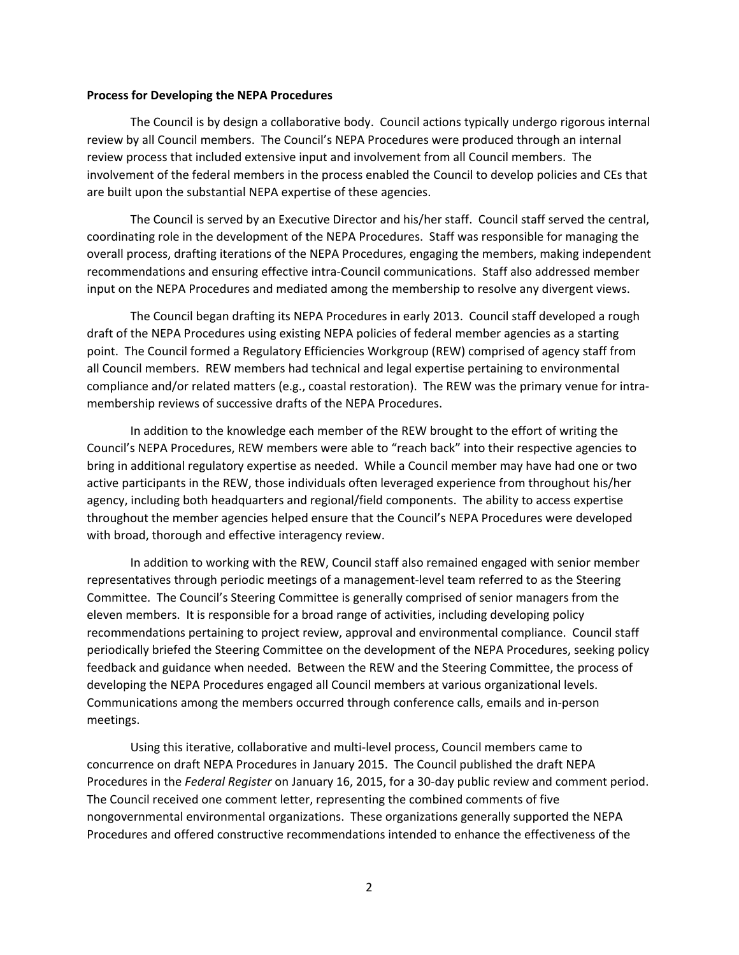#### **Process for Developing the NEPA Procedures**

The Council is by design a collaborative body. Council actions typically undergo rigorous internal review by all Council members. The Council's NEPA Procedures were produced through an internal review process that included extensive input and involvement from all Council members. The involvement of the federal members in the process enabled the Council to develop policies and CEs that are built upon the substantial NEPA expertise of these agencies.

The Council is served by an Executive Director and his/her staff. Council staff served the central, coordinating role in the development of the NEPA Procedures. Staff was responsible for managing the overall process, drafting iterations of the NEPA Procedures, engaging the members, making independent recommendations and ensuring effective intra-Council communications. Staff also addressed member input on the NEPA Procedures and mediated among the membership to resolve any divergent views.

The Council began drafting its NEPA Procedures in early 2013. Council staff developed a rough draft of the NEPA Procedures using existing NEPA policies of federal member agencies as a starting point. The Council formed a Regulatory Efficiencies Workgroup (REW) comprised of agency staff from all Council members. REW members had technical and legal expertise pertaining to environmental compliance and/or related matters (e.g., coastal restoration). The REW was the primary venue for intramembership reviews of successive drafts of the NEPA Procedures.

In addition to the knowledge each member of the REW brought to the effort of writing the Council's NEPA Procedures, REW members were able to "reach back" into their respective agencies to bring in additional regulatory expertise as needed. While a Council member may have had one or two active participants in the REW, those individuals often leveraged experience from throughout his/her agency, including both headquarters and regional/field components. The ability to access expertise throughout the member agencies helped ensure that the Council's NEPA Procedures were developed with broad, thorough and effective interagency review.

In addition to working with the REW, Council staff also remained engaged with senior member representatives through periodic meetings of a management-level team referred to as the Steering Committee. The Council's Steering Committee is generally comprised of senior managers from the eleven members. It is responsible for a broad range of activities, including developing policy recommendations pertaining to project review, approval and environmental compliance. Council staff periodically briefed the Steering Committee on the development of the NEPA Procedures, seeking policy feedback and guidance when needed. Between the REW and the Steering Committee, the process of developing the NEPA Procedures engaged all Council members at various organizational levels. Communications among the members occurred through conference calls, emails and in-person meetings.

Using this iterative, collaborative and multi-level process, Council members came to concurrence on draft NEPA Procedures in January 2015. The Council published the draft NEPA Procedures in the *Federal Register* on January 16, 2015, for a 30-day public review and comment period. The Council received one comment letter, representing the combined comments of five nongovernmental environmental organizations. These organizations generally supported the NEPA Procedures and offered constructive recommendations intended to enhance the effectiveness of the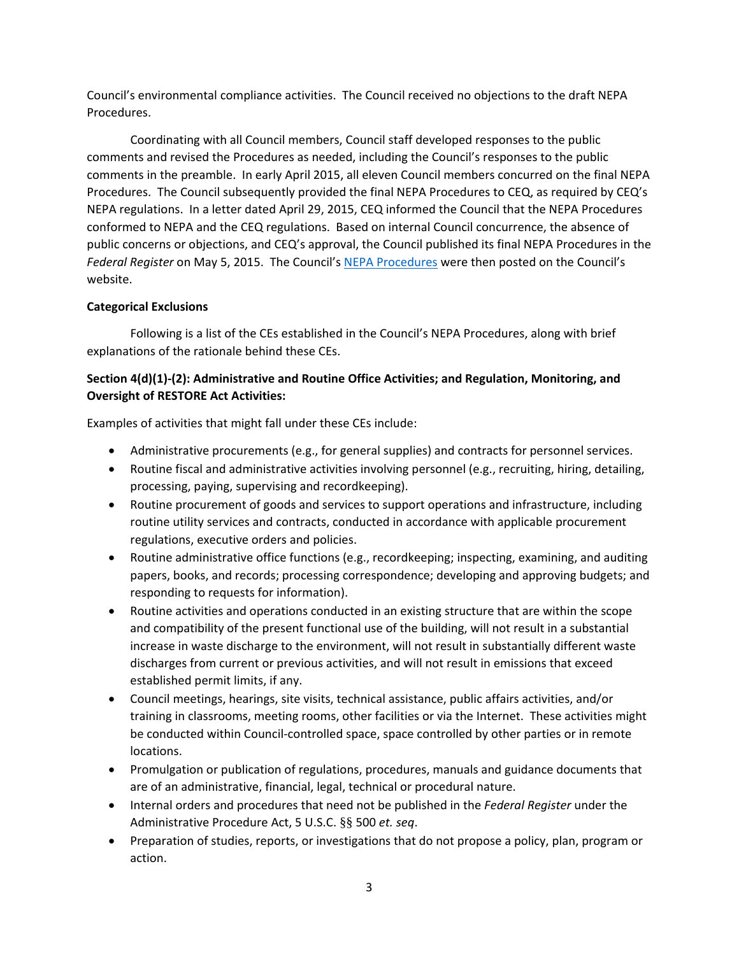Council's environmental compliance activities. The Council received no objections to the draft NEPA Procedures.

Coordinating with all Council members, Council staff developed responses to the public comments and revised the Procedures as needed, including the Council's responses to the public comments in the preamble. In early April 2015, all eleven Council members concurred on the final NEPA Procedures. The Council subsequently provided the final NEPA Procedures to CEQ, as required by CEQ's NEPA regulations. In a letter dated April 29, 2015, CEQ informed the Council that the NEPA Procedures conformed to NEPA and the CEQ regulations. Based on internal Council concurrence, the absence of public concerns or objections, and CEQ's approval, the Council published its final NEPA Procedures in the *Federal Register* on May 5, 2015. The Council's [NEPA Procedures](https://www.restorethegulf.gov/sites/default/files/documents/pdf/Gulf%20Coast%20Ecosystem%20Restoration%20Council%20NEPA%20Procedures.pdf) were then posted on the Council's website.

# **Categorical Exclusions**

Following is a list of the CEs established in the Council's NEPA Procedures, along with brief explanations of the rationale behind these CEs.

# **Section 4(d)(1)-(2): Administrative and Routine Office Activities; and Regulation, Monitoring, and Oversight of RESTORE Act Activities:**

Examples of activities that might fall under these CEs include:

- Administrative procurements (e.g., for general supplies) and contracts for personnel services.
- Routine fiscal and administrative activities involving personnel (e.g., recruiting, hiring, detailing, processing, paying, supervising and recordkeeping).
- Routine procurement of goods and services to support operations and infrastructure, including routine utility services and contracts, conducted in accordance with applicable procurement regulations, executive orders and policies.
- Routine administrative office functions (e.g., recordkeeping; inspecting, examining, and auditing papers, books, and records; processing correspondence; developing and approving budgets; and responding to requests for information).
- Routine activities and operations conducted in an existing structure that are within the scope and compatibility of the present functional use of the building, will not result in a substantial increase in waste discharge to the environment, will not result in substantially different waste discharges from current or previous activities, and will not result in emissions that exceed established permit limits, if any.
- Council meetings, hearings, site visits, technical assistance, public affairs activities, and/or training in classrooms, meeting rooms, other facilities or via the Internet. These activities might be conducted within Council-controlled space, space controlled by other parties or in remote locations.
- Promulgation or publication of regulations, procedures, manuals and guidance documents that are of an administrative, financial, legal, technical or procedural nature.
- Internal orders and procedures that need not be published in the *Federal Register* under the Administrative Procedure Act, 5 U.S.C. §§ 500 *et. seq*.
- Preparation of studies, reports, or investigations that do not propose a policy, plan, program or action.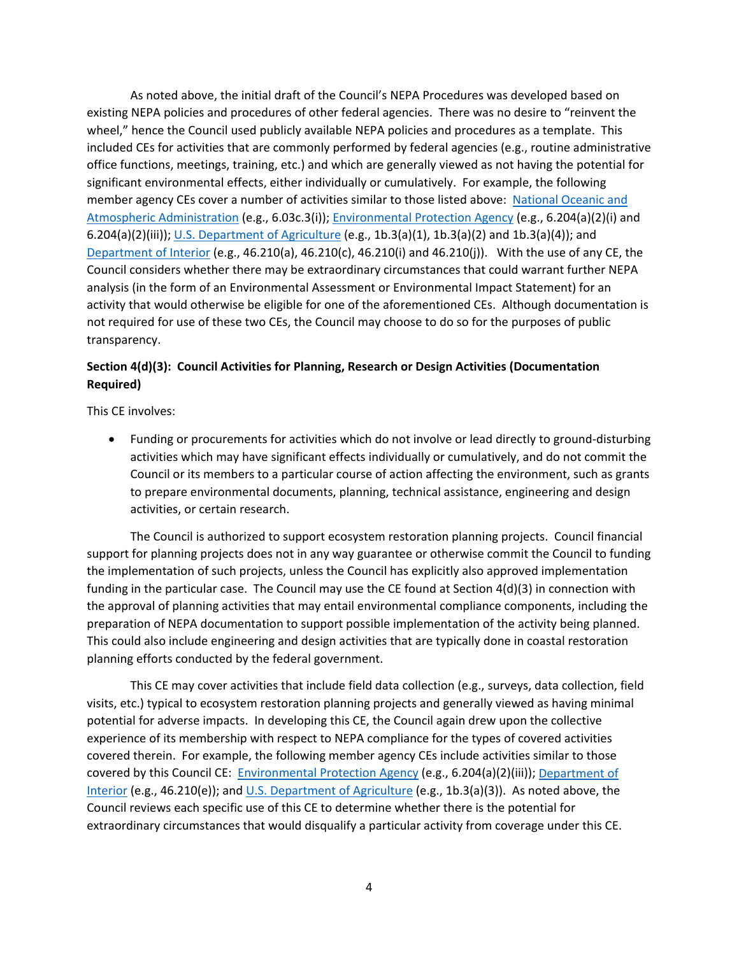As noted above, the initial draft of the Council's NEPA Procedures was developed based on existing NEPA policies and procedures of other federal agencies. There was no desire to "reinvent the wheel," hence the Council used publicly available NEPA policies and procedures as a template. This included CEs for activities that are commonly performed by federal agencies (e.g., routine administrative office functions, meetings, training, etc.) and which are generally viewed as not having the potential for significant environmental effects, either individually or cumulatively. For example, the following member agency CEs cover a number of activities similar to those listed above: [National Oceanic and](http://www.nepa.noaa.gov/NAO216_6.pdf)  [Atmospheric Administration](http://www.nepa.noaa.gov/NAO216_6.pdf) (e.g., 6.03c.3(i)); [Environmental Protection Agency](http://www.ecfr.gov/cgi-bin/text-idx?SID=c2c0aed2d7f162d5cef02a61d58bd1a3&mc=true&node=pt40.1.6&rgn=div5#se40.1.6_1204) (e.g., 6.204(a)(2)(i) and 6.204(a)(2)(iii)); [U.S. Department of Agriculture](http://www.nrcs.usda.gov/Internet/FSE_DOCUMENTS/nrcs143_025612.pdf) (e.g., 1b.3(a)(1), 1b.3(a)(2) and 1b.3(a)(4)); and [Department of Interior](http://www.ecfr.gov/cgi-bin/text-idx?SID=5762dc2572fae9c9f77579a06046da62&mc=true&node=se43.1.46_1210&rgn=div8) (e.g., 46.210(a), 46.210(c), 46.210(i) and 46.210(i)). With the use of any CE, the Council considers whether there may be extraordinary circumstances that could warrant further NEPA analysis (in the form of an Environmental Assessment or Environmental Impact Statement) for an activity that would otherwise be eligible for one of the aforementioned CEs. Although documentation is not required for use of these two CEs, the Council may choose to do so for the purposes of public transparency.

# **Section 4(d)(3): Council Activities for Planning, Research or Design Activities (Documentation Required)**

This CE involves:

• Funding or procurements for activities which do not involve or lead directly to ground-disturbing activities which may have significant effects individually or cumulatively, and do not commit the Council or its members to a particular course of action affecting the environment, such as grants to prepare environmental documents, planning, technical assistance, engineering and design activities, or certain research.

The Council is authorized to support ecosystem restoration planning projects. Council financial support for planning projects does not in any way guarantee or otherwise commit the Council to funding the implementation of such projects, unless the Council has explicitly also approved implementation funding in the particular case. The Council may use the CE found at Section 4(d)(3) in connection with the approval of planning activities that may entail environmental compliance components, including the preparation of NEPA documentation to support possible implementation of the activity being planned. This could also include engineering and design activities that are typically done in coastal restoration planning efforts conducted by the federal government.

This CE may cover activities that include field data collection (e.g., surveys, data collection, field visits, etc.) typical to ecosystem restoration planning projects and generally viewed as having minimal potential for adverse impacts. In developing this CE, the Council again drew upon the collective experience of its membership with respect to NEPA compliance for the types of covered activities covered therein. For example, the following member agency CEs include activities similar to those covered by this Council CE: [Environmental Protection Agency](http://www.ecfr.gov/cgi-bin/text-idx?SID=c2c0aed2d7f162d5cef02a61d58bd1a3&mc=true&node=pt40.1.6&rgn=div5#se40.1.6_1204) (e.g., 6.204(a)(2)(iii)); [Department of](http://www.ecfr.gov/cgi-bin/text-idx?SID=5762dc2572fae9c9f77579a06046da62&mc=true&node=se43.1.46_1210&rgn=div8)  [Interior](http://www.ecfr.gov/cgi-bin/text-idx?SID=5762dc2572fae9c9f77579a06046da62&mc=true&node=se43.1.46_1210&rgn=div8) (e.g., 46.210(e)); and [U.S. Department of Agriculture](http://www.nrcs.usda.gov/Internet/FSE_DOCUMENTS/nrcs143_025612.pdf) (e.g., 1b.3(a)(3)). As noted above, the Council reviews each specific use of this CE to determine whether there is the potential for extraordinary circumstances that would disqualify a particular activity from coverage under this CE.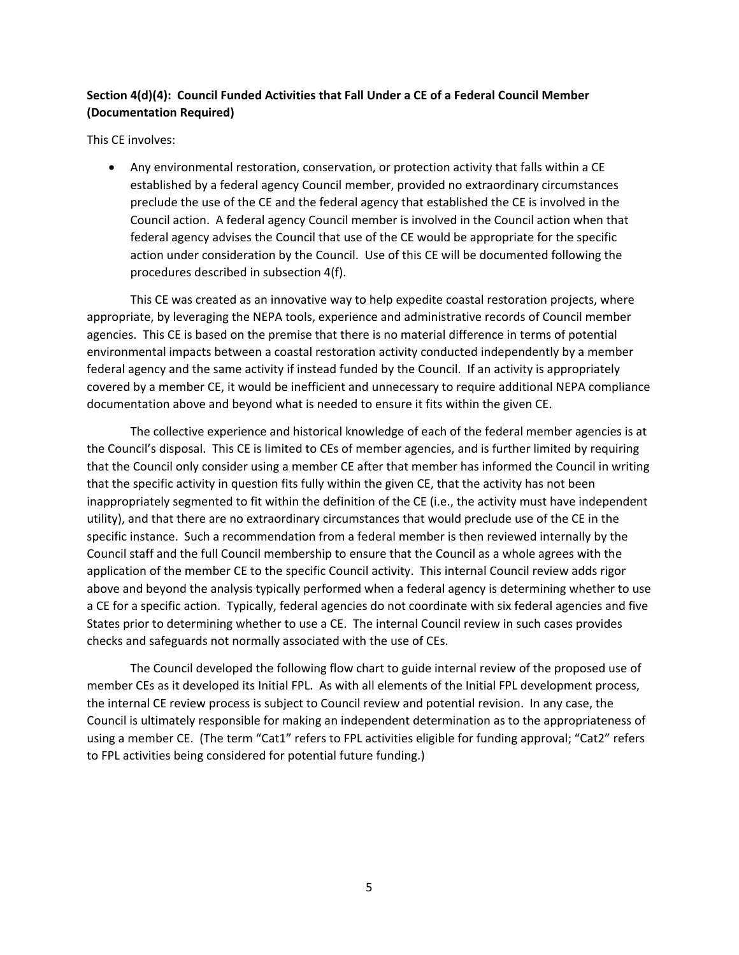# **Section 4(d)(4): Council Funded Activities that Fall Under a CE of a Federal Council Member (Documentation Required)**

This CE involves:

• Any environmental restoration, conservation, or protection activity that falls within a CE established by a federal agency Council member, provided no extraordinary circumstances preclude the use of the CE and the federal agency that established the CE is involved in the Council action. A federal agency Council member is involved in the Council action when that federal agency advises the Council that use of the CE would be appropriate for the specific action under consideration by the Council. Use of this CE will be documented following the procedures described in subsection 4(f).

This CE was created as an innovative way to help expedite coastal restoration projects, where appropriate, by leveraging the NEPA tools, experience and administrative records of Council member agencies. This CE is based on the premise that there is no material difference in terms of potential environmental impacts between a coastal restoration activity conducted independently by a member federal agency and the same activity if instead funded by the Council. If an activity is appropriately covered by a member CE, it would be inefficient and unnecessary to require additional NEPA compliance documentation above and beyond what is needed to ensure it fits within the given CE.

The collective experience and historical knowledge of each of the federal member agencies is at the Council's disposal. This CE is limited to CEs of member agencies, and is further limited by requiring that the Council only consider using a member CE after that member has informed the Council in writing that the specific activity in question fits fully within the given CE, that the activity has not been inappropriately segmented to fit within the definition of the CE (i.e., the activity must have independent utility), and that there are no extraordinary circumstances that would preclude use of the CE in the specific instance. Such a recommendation from a federal member is then reviewed internally by the Council staff and the full Council membership to ensure that the Council as a whole agrees with the application of the member CE to the specific Council activity. This internal Council review adds rigor above and beyond the analysis typically performed when a federal agency is determining whether to use a CE for a specific action. Typically, federal agencies do not coordinate with six federal agencies and five States prior to determining whether to use a CE. The internal Council review in such cases provides checks and safeguards not normally associated with the use of CEs.

The Council developed the following flow chart to guide internal review of the proposed use of member CEs as it developed its Initial FPL. As with all elements of the Initial FPL development process, the internal CE review process is subject to Council review and potential revision. In any case, the Council is ultimately responsible for making an independent determination as to the appropriateness of using a member CE. (The term "Cat1" refers to FPL activities eligible for funding approval; "Cat2" refers to FPL activities being considered for potential future funding.)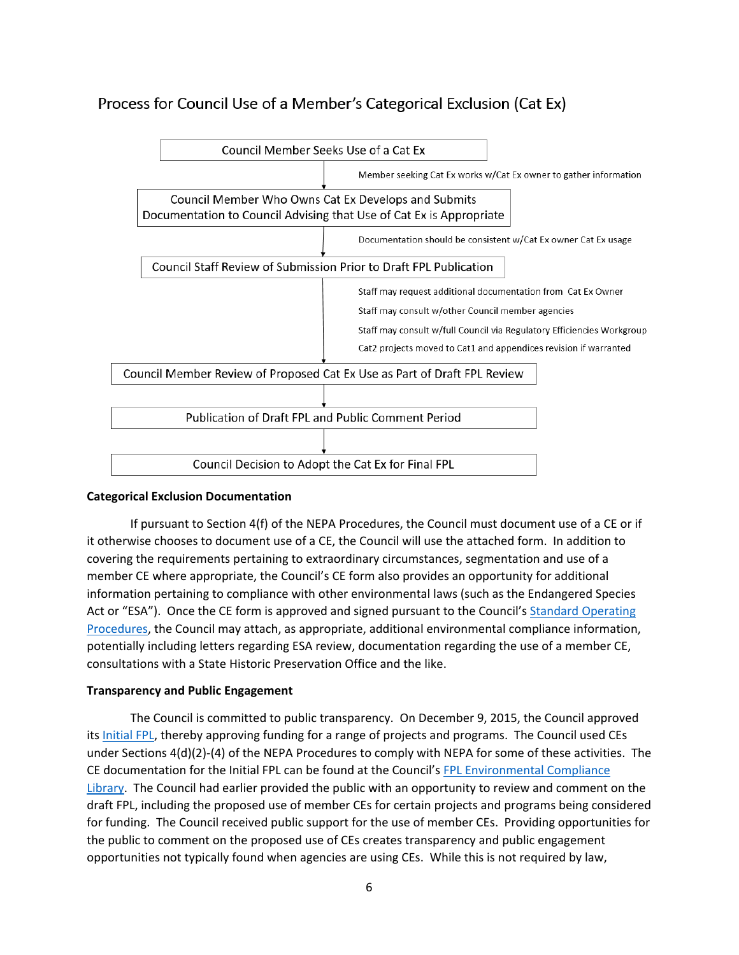# Process for Council Use of a Member's Categorical Exclusion (Cat Ex)



### **Categorical Exclusion Documentation**

If pursuant to Section 4(f) of the NEPA Procedures, the Council must document use of a CE or if it otherwise chooses to document use of a CE, the Council will use the attached form. In addition to covering the requirements pertaining to extraordinary circumstances, segmentation and use of a member CE where appropriate, the Council's CE form also provides an opportunity for additional information pertaining to compliance with other environmental laws (such as the Endangered Species Act or "ESA"). Once the CE form is approved and signed pursuant to the Council's Standard Operating [Procedures,](https://www.restorethegulf.gov/sites/default/files/GCERC%20SOP%20Final%2020150107.pdf#overlay-context=resources/fact-sheets-and-council-documents) the Council may attach, as appropriate, additional environmental compliance information, potentially including letters regarding ESA review, documentation regarding the use of a member CE, consultations with a State Historic Preservation Office and the like.

### **Transparency and Public Engagement**

The Council is committed to public transparency. On December 9, 2015, the Council approved its [Initial FPL,](https://www.restorethegulf.gov/sites/default/files/FPL_FINAL_Dec9Vote_EC_Library_Links.pdf) thereby approving funding for a range of projects and programs. The Council used CEs under Sections 4(d)(2)-(4) of the NEPA Procedures to comply with NEPA for some of these activities. The CE documentation for the Initial FPL can be found at the Council'[s FPL Environmental Compliance](https://www.restorethegulf.gov/funded-priorities-list)  [Library.](https://www.restorethegulf.gov/funded-priorities-list) The Council had earlier provided the public with an opportunity to review and comment on the draft FPL, including the proposed use of member CEs for certain projects and programs being considered for funding. The Council received public support for the use of member CEs. Providing opportunities for the public to comment on the proposed use of CEs creates transparency and public engagement opportunities not typically found when agencies are using CEs. While this is not required by law,